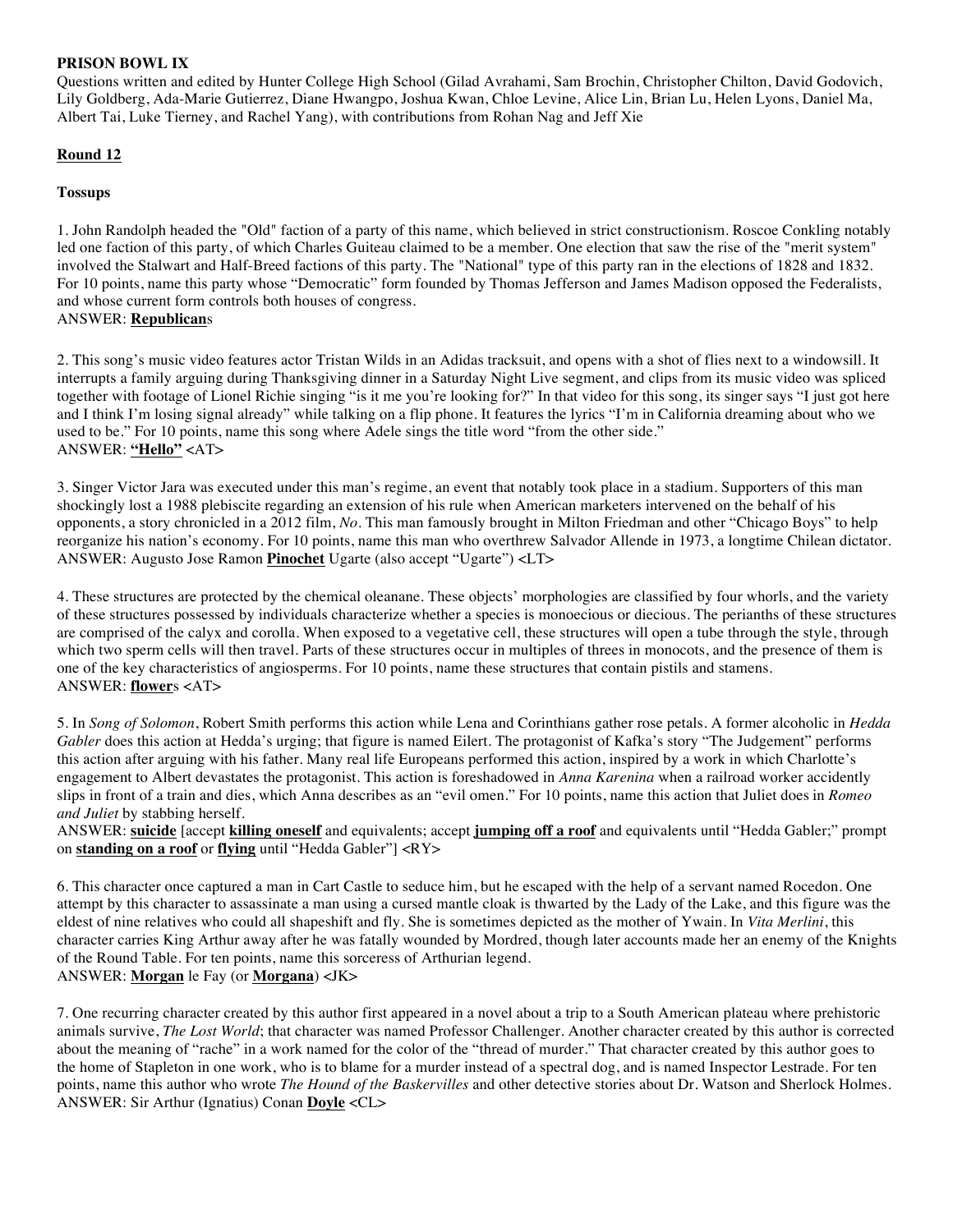### **PRISON BOWL IX**

Questions written and edited by Hunter College High School (Gilad Avrahami, Sam Brochin, Christopher Chilton, David Godovich, Lily Goldberg, Ada-Marie Gutierrez, Diane Hwangpo, Joshua Kwan, Chloe Levine, Alice Lin, Brian Lu, Helen Lyons, Daniel Ma, Albert Tai, Luke Tierney, and Rachel Yang), with contributions from Rohan Nag and Jeff Xie

# **Round 12**

### **Tossups**

1. John Randolph headed the "Old" faction of a party of this name, which believed in strict constructionism. Roscoe Conkling notably led one faction of this party, of which Charles Guiteau claimed to be a member. One election that saw the rise of the "merit system" involved the Stalwart and Half-Breed factions of this party. The "National" type of this party ran in the elections of 1828 and 1832. For 10 points, name this party whose "Democratic" form founded by Thomas Jefferson and James Madison opposed the Federalists, and whose current form controls both houses of congress. ANSWER: **Republican**s

2. This song's music video features actor Tristan Wilds in an Adidas tracksuit, and opens with a shot of flies next to a windowsill. It interrupts a family arguing during Thanksgiving dinner in a Saturday Night Live segment, and clips from its music video was spliced together with footage of Lionel Richie singing "is it me you're looking for?" In that video for this song, its singer says "I just got here and I think I'm losing signal already" while talking on a flip phone. It features the lyrics "I'm in California dreaming about who we used to be." For 10 points, name this song where Adele sings the title word "from the other side." ANSWER: **"Hello"** <AT>

3. Singer Victor Jara was executed under this man's regime, an event that notably took place in a stadium. Supporters of this man shockingly lost a 1988 plebiscite regarding an extension of his rule when American marketers intervened on the behalf of his opponents, a story chronicled in a 2012 film, *No*. This man famously brought in Milton Friedman and other "Chicago Boys" to help reorganize his nation's economy. For 10 points, name this man who overthrew Salvador Allende in 1973, a longtime Chilean dictator. ANSWER: Augusto Jose Ramon **Pinochet** Ugarte (also accept "Ugarte") <LT>

4. These structures are protected by the chemical oleanane. These objects' morphologies are classified by four whorls, and the variety of these structures possessed by individuals characterize whether a species is monoecious or diecious. The perianths of these structures are comprised of the calyx and corolla. When exposed to a vegetative cell, these structures will open a tube through the style, through which two sperm cells will then travel. Parts of these structures occur in multiples of threes in monocots, and the presence of them is one of the key characteristics of angiosperms. For 10 points, name these structures that contain pistils and stamens. ANSWER: **flower**s <AT>

5. In *Song of Solomon*, Robert Smith performs this action while Lena and Corinthians gather rose petals. A former alcoholic in *Hedda Gabler* does this action at Hedda's urging; that figure is named Eilert. The protagonist of Kafka's story "The Judgement" performs this action after arguing with his father. Many real life Europeans performed this action, inspired by a work in which Charlotte's engagement to Albert devastates the protagonist. This action is foreshadowed in *Anna Karenina* when a railroad worker accidently slips in front of a train and dies, which Anna describes as an "evil omen." For 10 points, name this action that Juliet does in *Romeo and Juliet* by stabbing herself.

ANSWER: **suicide** [accept **killing oneself** and equivalents; accept **jumping off a roof** and equivalents until "Hedda Gabler;" prompt on **standing on a roof** or **flying** until "Hedda Gabler"] <RY>

6. This character once captured a man in Cart Castle to seduce him, but he escaped with the help of a servant named Rocedon. One attempt by this character to assassinate a man using a cursed mantle cloak is thwarted by the Lady of the Lake, and this figure was the eldest of nine relatives who could all shapeshift and fly. She is sometimes depicted as the mother of Ywain. In *Vita Merlini*, this character carries King Arthur away after he was fatally wounded by Mordred, though later accounts made her an enemy of the Knights of the Round Table. For ten points, name this sorceress of Arthurian legend. ANSWER: **Morgan** le Fay (or **Morgana**) <JK>

7. One recurring character created by this author first appeared in a novel about a trip to a South American plateau where prehistoric animals survive, *The Lost World*; that character was named Professor Challenger. Another character created by this author is corrected about the meaning of "rache" in a work named for the color of the "thread of murder." That character created by this author goes to the home of Stapleton in one work, who is to blame for a murder instead of a spectral dog, and is named Inspector Lestrade. For ten points, name this author who wrote *The Hound of the Baskervilles* and other detective stories about Dr. Watson and Sherlock Holmes. ANSWER: Sir Arthur (Ignatius) Conan **Doyle** <CL>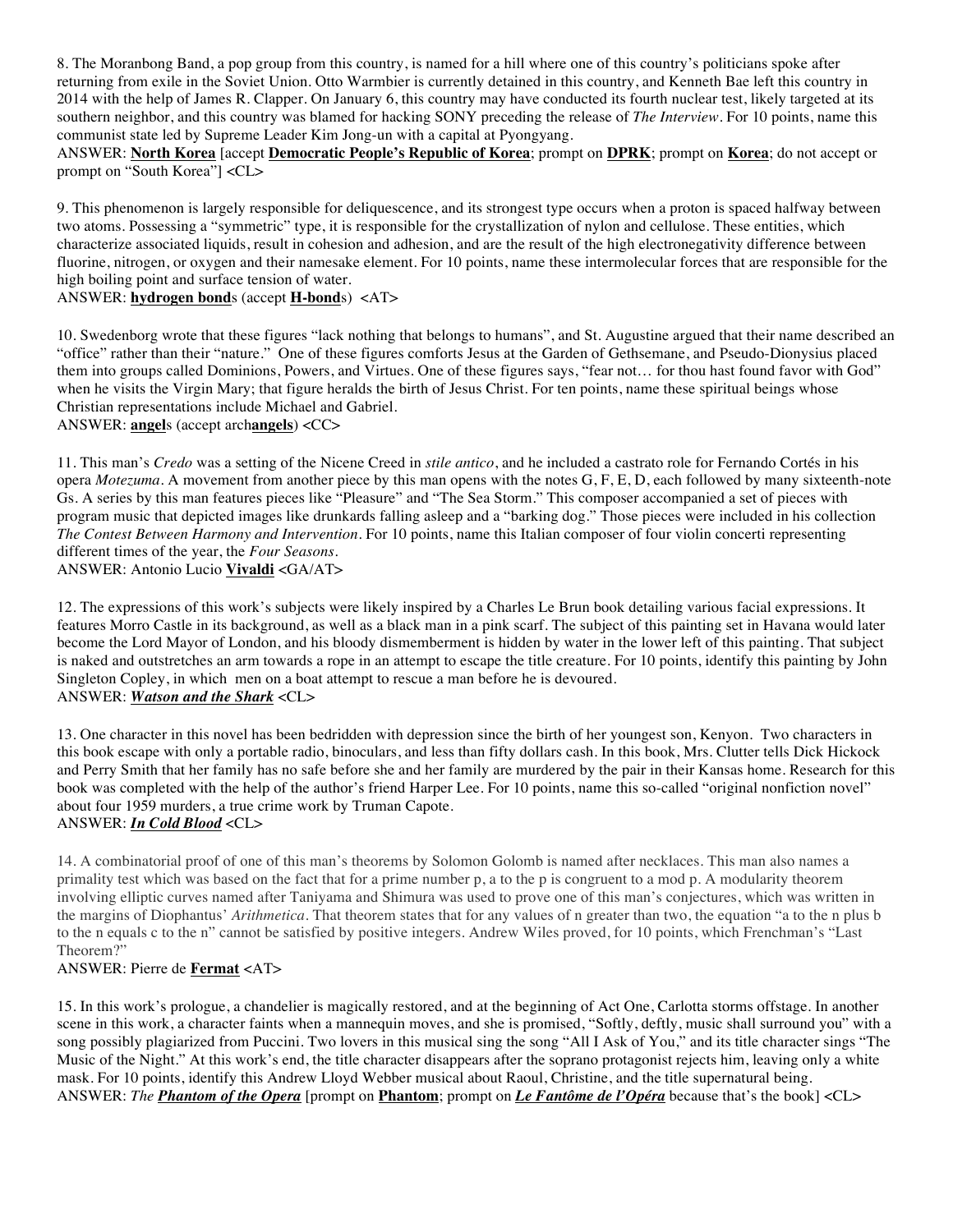8. The Moranbong Band, a pop group from this country, is named for a hill where one of this country's politicians spoke after returning from exile in the Soviet Union. Otto Warmbier is currently detained in this country, and Kenneth Bae left this country in 2014 with the help of James R. Clapper. On January 6, this country may have conducted its fourth nuclear test, likely targeted at its southern neighbor, and this country was blamed for hacking SONY preceding the release of *The Interview*. For 10 points, name this communist state led by Supreme Leader Kim Jong-un with a capital at Pyongyang.

ANSWER: **North Korea** [accept **Democratic People's Republic of Korea**; prompt on **DPRK**; prompt on **Korea**; do not accept or prompt on "South Korea"] <CL>

9. This phenomenon is largely responsible for deliquescence, and its strongest type occurs when a proton is spaced halfway between two atoms. Possessing a "symmetric" type, it is responsible for the crystallization of nylon and cellulose. These entities, which characterize associated liquids, result in cohesion and adhesion, and are the result of the high electronegativity difference between fluorine, nitrogen, or oxygen and their namesake element. For 10 points, name these intermolecular forces that are responsible for the high boiling point and surface tension of water.

# ANSWER: **hydrogen bond**s (accept **H-bond**s) <AT>

10. Swedenborg wrote that these figures "lack nothing that belongs to humans", and St. Augustine argued that their name described an "office" rather than their "nature." One of these figures comforts Jesus at the Garden of Gethsemane, and Pseudo-Dionysius placed them into groups called Dominions, Powers, and Virtues. One of these figures says, "fear not… for thou hast found favor with God" when he visits the Virgin Mary; that figure heralds the birth of Jesus Christ. For ten points, name these spiritual beings whose Christian representations include Michael and Gabriel. ANSWER: **angel**s (accept arch**angels**) <CC>

11. This man's *Credo* was a setting of the Nicene Creed in *stile antico*, and he included a castrato role for Fernando Cortés in his opera *Motezuma*. A movement from another piece by this man opens with the notes G, F, E, D, each followed by many sixteenth-note Gs. A series by this man features pieces like "Pleasure" and "The Sea Storm." This composer accompanied a set of pieces with program music that depicted images like drunkards falling asleep and a "barking dog." Those pieces were included in his collection *The Contest Between Harmony and Intervention*. For 10 points, name this Italian composer of four violin concerti representing different times of the year, the *Four Seasons*. ANSWER: Antonio Lucio **Vivaldi** <GA/AT>

12. The expressions of this work's subjects were likely inspired by a Charles Le Brun book detailing various facial expressions. It features Morro Castle in its background, as well as a black man in a pink scarf. The subject of this painting set in Havana would later become the Lord Mayor of London, and his bloody dismemberment is hidden by water in the lower left of this painting. That subject is naked and outstretches an arm towards a rope in an attempt to escape the title creature. For 10 points, identify this painting by John Singleton Copley, in which men on a boat attempt to rescue a man before he is devoured. ANSWER: *Watson and the Shark* <CL>

13. One character in this novel has been bedridden with depression since the birth of her youngest son, Kenyon. Two characters in this book escape with only a portable radio, binoculars, and less than fifty dollars cash. In this book, Mrs. Clutter tells Dick Hickock and Perry Smith that her family has no safe before she and her family are murdered by the pair in their Kansas home. Research for this book was completed with the help of the author's friend Harper Lee. For 10 points, name this so-called "original nonfiction novel" about four 1959 murders, a true crime work by Truman Capote. ANSWER: *In Cold Blood* <CL>

14. A combinatorial proof of one of this man's theorems by Solomon Golomb is named after necklaces. This man also names a primality test which was based on the fact that for a prime number p, a to the p is congruent to a mod p. A modularity theorem involving elliptic curves named after Taniyama and Shimura was used to prove one of this man's conjectures, which was written in the margins of Diophantus' *Arithmetica*. That theorem states that for any values of n greater than two, the equation "a to the n plus b to the n equals c to the n" cannot be satisfied by positive integers. Andrew Wiles proved, for 10 points, which Frenchman's "Last Theorem?"

#### ANSWER: Pierre de **Fermat** <AT>

15. In this work's prologue, a chandelier is magically restored, and at the beginning of Act One, Carlotta storms offstage. In another scene in this work, a character faints when a mannequin moves, and she is promised, "Softly, deftly, music shall surround you" with a song possibly plagiarized from Puccini. Two lovers in this musical sing the song "All I Ask of You," and its title character sings "The Music of the Night." At this work's end, the title character disappears after the soprano protagonist rejects him, leaving only a white mask. For 10 points, identify this Andrew Lloyd Webber musical about Raoul, Christine, and the title supernatural being. ANSWER: *The Phantom of the Opera* [prompt on **Phantom**; prompt on *Le Fantôme de l'Opéra* because that's the book] <CL>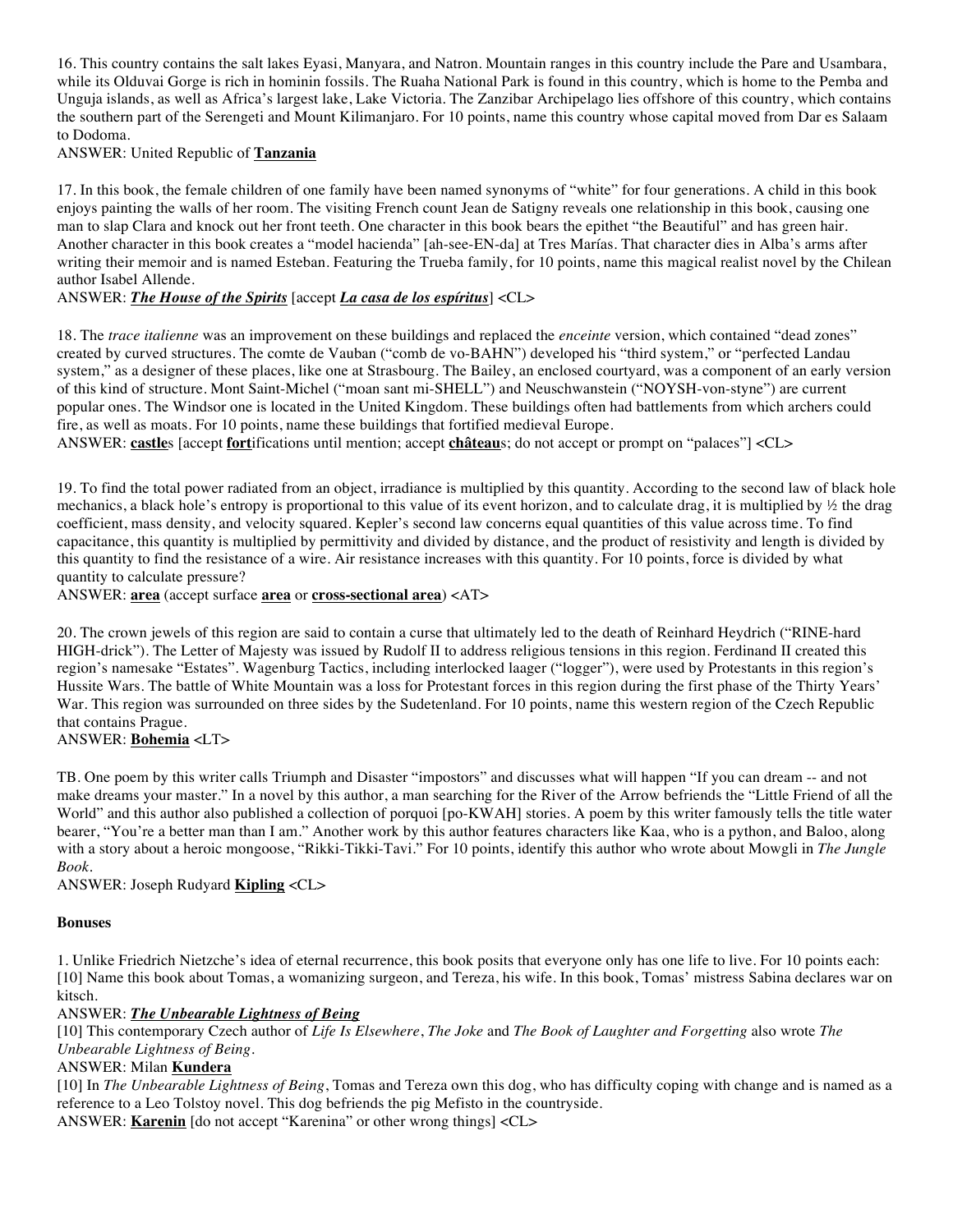16. This country contains the salt lakes Eyasi, Manyara, and Natron. Mountain ranges in this country include the Pare and Usambara, while its Olduvai Gorge is rich in hominin fossils. The Ruaha National Park is found in this country, which is home to the Pemba and Unguja islands, as well as Africa's largest lake, Lake Victoria. The Zanzibar Archipelago lies offshore of this country, which contains the southern part of the Serengeti and Mount Kilimanjaro. For 10 points, name this country whose capital moved from Dar es Salaam to Dodoma.

ANSWER: United Republic of **Tanzania**

17. In this book, the female children of one family have been named synonyms of "white" for four generations. A child in this book enjoys painting the walls of her room. The visiting French count Jean de Satigny reveals one relationship in this book, causing one man to slap Clara and knock out her front teeth. One character in this book bears the epithet "the Beautiful" and has green hair. Another character in this book creates a "model hacienda" [ah-see-EN-da] at Tres Marías. That character dies in Alba's arms after writing their memoir and is named Esteban. Featuring the Trueba family, for 10 points, name this magical realist novel by the Chilean author Isabel Allende.

#### ANSWER: *The House of the Spirits* [accept *La casa de los espíritus*] <CL>

18. The *trace italienne* was an improvement on these buildings and replaced the *enceinte* version, which contained "dead zones" created by curved structures. The comte de Vauban ("comb de vo-BAHN") developed his "third system," or "perfected Landau system," as a designer of these places, like one at Strasbourg. The Bailey, an enclosed courtyard, was a component of an early version of this kind of structure. Mont Saint-Michel ("moan sant mi-SHELL") and Neuschwanstein ("NOYSH-von-styne") are current popular ones. The Windsor one is located in the United Kingdom. These buildings often had battlements from which archers could fire, as well as moats. For 10 points, name these buildings that fortified medieval Europe.

ANSWER: **castle**s [accept **fort**ifications until mention; accept **château**s; do not accept or prompt on "palaces"] <CL>

19. To find the total power radiated from an object, irradiance is multiplied by this quantity. According to the second law of black hole mechanics, a black hole's entropy is proportional to this value of its event horizon, and to calculate drag, it is multiplied by  $\frac{1}{2}$  the drag coefficient, mass density, and velocity squared. Kepler's second law concerns equal quantities of this value across time. To find capacitance, this quantity is multiplied by permittivity and divided by distance, and the product of resistivity and length is divided by this quantity to find the resistance of a wire. Air resistance increases with this quantity. For 10 points, force is divided by what quantity to calculate pressure?

ANSWER: **area** (accept surface **area** or **cross-sectional area**) <AT>

20. The crown jewels of this region are said to contain a curse that ultimately led to the death of Reinhard Heydrich ("RINE-hard HIGH-drick"). The Letter of Majesty was issued by Rudolf II to address religious tensions in this region. Ferdinand II created this region's namesake "Estates". Wagenburg Tactics, including interlocked laager ("logger"), were used by Protestants in this region's Hussite Wars. The battle of White Mountain was a loss for Protestant forces in this region during the first phase of the Thirty Years' War. This region was surrounded on three sides by the Sudetenland. For 10 points, name this western region of the Czech Republic that contains Prague.

ANSWER: **Bohemia** <LT>

TB. One poem by this writer calls Triumph and Disaster "impostors" and discusses what will happen "If you can dream -- and not make dreams your master." In a novel by this author, a man searching for the River of the Arrow befriends the "Little Friend of all the World" and this author also published a collection of porquoi [po-KWAH] stories. A poem by this writer famously tells the title water bearer, "You're a better man than I am." Another work by this author features characters like Kaa, who is a python, and Baloo, along with a story about a heroic mongoose, "Rikki-Tikki-Tavi." For 10 points, identify this author who wrote about Mowgli in *The Jungle Book*.

ANSWER: Joseph Rudyard **Kipling** <CL>

#### **Bonuses**

1. Unlike Friedrich Nietzche's idea of eternal recurrence, this book posits that everyone only has one life to live. For 10 points each: [10] Name this book about Tomas, a womanizing surgeon, and Tereza, his wife. In this book, Tomas' mistress Sabina declares war on kitsch.

ANSWER: *The Unbearable Lightness of Being*

[10] This contemporary Czech author of *Life Is Elsewhere*, *The Joke* and *The Book of Laughter and Forgetting* also wrote *The Unbearable Lightness of Being*.

ANSWER: Milan **Kundera**

[10] In *The Unbearable Lightness of Being*, Tomas and Tereza own this dog, who has difficulty coping with change and is named as a reference to a Leo Tolstoy novel. This dog befriends the pig Mefisto in the countryside. ANSWER: **Karenin** [do not accept "Karenina" or other wrong things] <CL>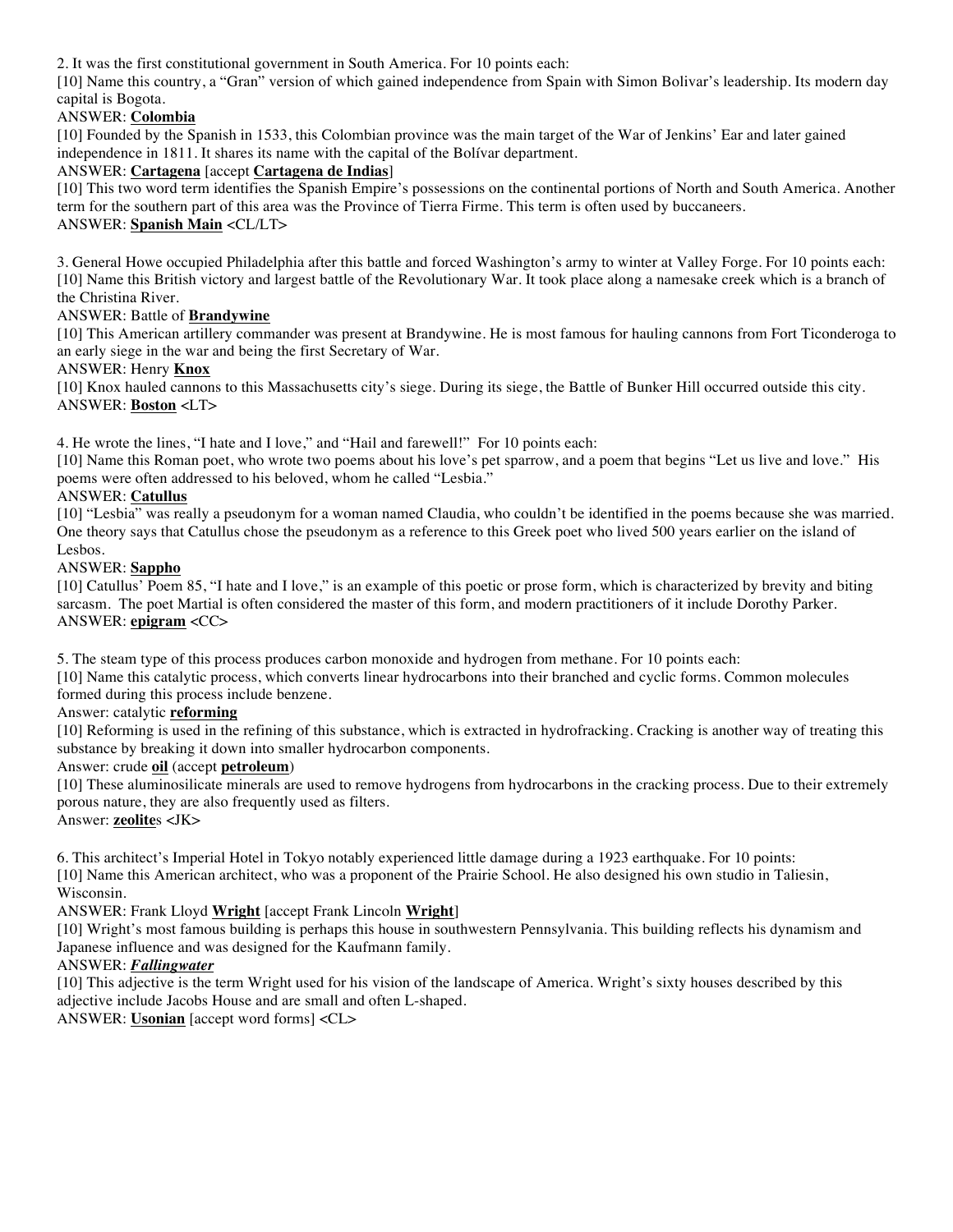2. It was the first constitutional government in South America. For 10 points each:

[10] Name this country, a "Gran" version of which gained independence from Spain with Simon Bolivar's leadership. Its modern day capital is Bogota.

# ANSWER: **Colombia**

[10] Founded by the Spanish in 1533, this Colombian province was the main target of the War of Jenkins' Ear and later gained independence in 1811. It shares its name with the capital of the Bolívar department.

# ANSWER: **Cartagena** [accept **Cartagena de Indias**]

[10] This two word term identifies the Spanish Empire's possessions on the continental portions of North and South America. Another term for the southern part of this area was the Province of Tierra Firme. This term is often used by buccaneers. ANSWER: **Spanish Main** <CL/LT>

3. General Howe occupied Philadelphia after this battle and forced Washington's army to winter at Valley Forge. For 10 points each: [10] Name this British victory and largest battle of the Revolutionary War. It took place along a namesake creek which is a branch of the Christina River.

### ANSWER: Battle of **Brandywine**

[10] This American artillery commander was present at Brandywine. He is most famous for hauling cannons from Fort Ticonderoga to an early siege in the war and being the first Secretary of War.

### ANSWER: Henry **Knox**

[10] Knox hauled cannons to this Massachusetts city's siege. During its siege, the Battle of Bunker Hill occurred outside this city. ANSWER: **Boston** <LT>

4. He wrote the lines, "I hate and I love," and "Hail and farewell!" For 10 points each:

[10] Name this Roman poet, who wrote two poems about his love's pet sparrow, and a poem that begins "Let us live and love." His poems were often addressed to his beloved, whom he called "Lesbia."

### ANSWER: **Catullus**

[10] "Lesbia" was really a pseudonym for a woman named Claudia, who couldn't be identified in the poems because she was married. One theory says that Catullus chose the pseudonym as a reference to this Greek poet who lived 500 years earlier on the island of Lesbos.

### ANSWER: **Sappho**

[10] Catullus' Poem 85, "I hate and I love," is an example of this poetic or prose form, which is characterized by brevity and biting sarcasm. The poet Martial is often considered the master of this form, and modern practitioners of it include Dorothy Parker. ANSWER: **epigram** <CC>

5. The steam type of this process produces carbon monoxide and hydrogen from methane. For 10 points each:

[10] Name this catalytic process, which converts linear hydrocarbons into their branched and cyclic forms. Common molecules formed during this process include benzene.

# Answer: catalytic **reforming**

[10] Reforming is used in the refining of this substance, which is extracted in hydrofracking. Cracking is another way of treating this substance by breaking it down into smaller hydrocarbon components.

#### Answer: crude **oil** (accept **petroleum**)

[10] These aluminosilicate minerals are used to remove hydrogens from hydrocarbons in the cracking process. Due to their extremely porous nature, they are also frequently used as filters.

Answer: **zeolite**s <JK>

6. This architect's Imperial Hotel in Tokyo notably experienced little damage during a 1923 earthquake. For 10 points: [10] Name this American architect, who was a proponent of the Prairie School. He also designed his own studio in Taliesin, Wisconsin.

ANSWER: Frank Lloyd **Wright** [accept Frank Lincoln **Wright**]

[10] Wright's most famous building is perhaps this house in southwestern Pennsylvania. This building reflects his dynamism and Japanese influence and was designed for the Kaufmann family.

#### ANSWER: *Fallingwater*

[10] This adjective is the term Wright used for his vision of the landscape of America. Wright's sixty houses described by this adjective include Jacobs House and are small and often L-shaped.

ANSWER: **Usonian** [accept word forms] <CL>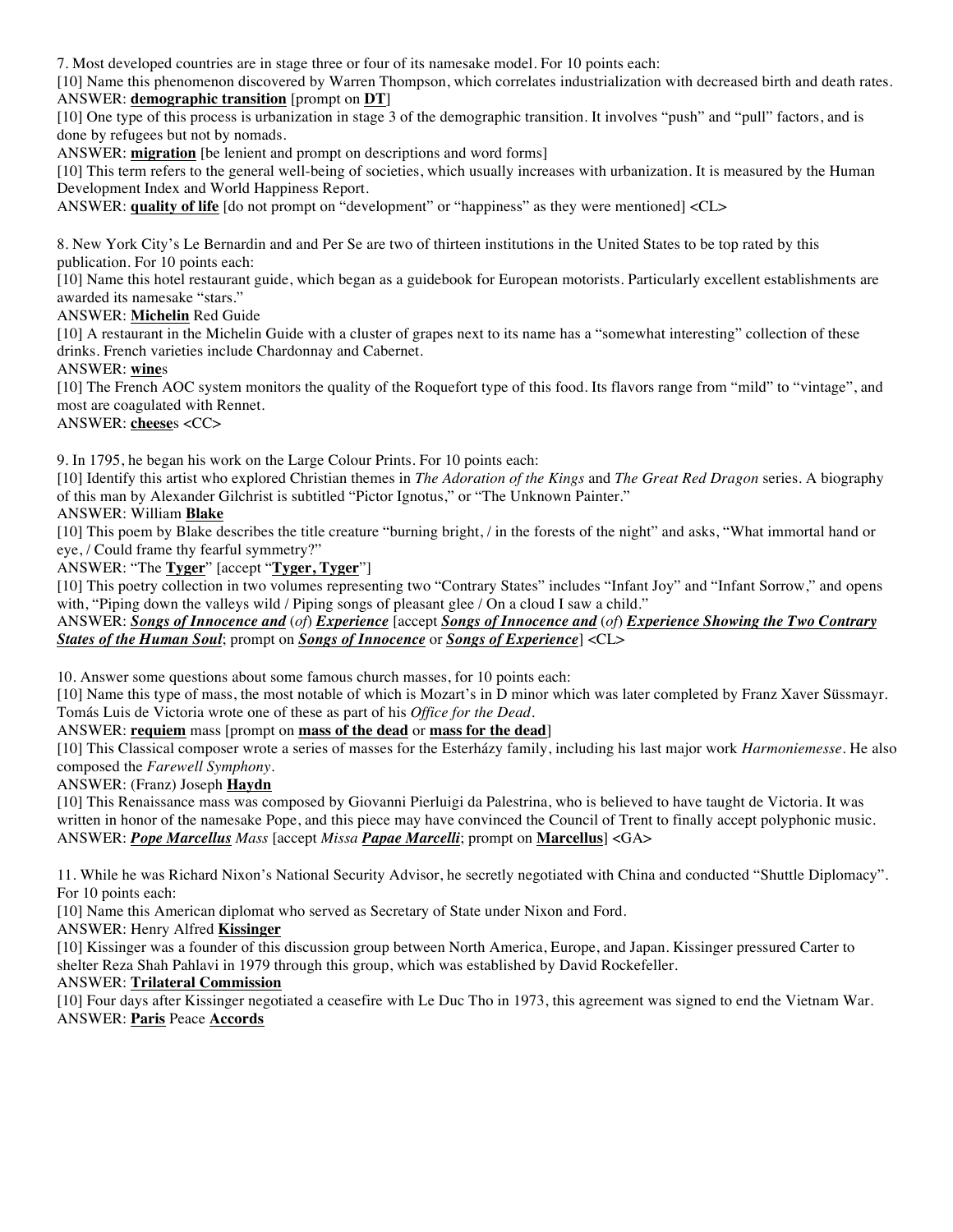7. Most developed countries are in stage three or four of its namesake model. For 10 points each:

[10] Name this phenomenon discovered by Warren Thompson, which correlates industrialization with decreased birth and death rates. ANSWER: **demographic transition** [prompt on **DT**]

[10] One type of this process is urbanization in stage 3 of the demographic transition. It involves "push" and "pull" factors, and is done by refugees but not by nomads.

ANSWER: **migration** [be lenient and prompt on descriptions and word forms]

[10] This term refers to the general well-being of societies, which usually increases with urbanization. It is measured by the Human Development Index and World Happiness Report.

ANSWER: **quality of life** [do not prompt on "development" or "happiness" as they were mentioned] <CL>

8. New York City's Le Bernardin and and Per Se are two of thirteen institutions in the United States to be top rated by this publication. For 10 points each:

[10] Name this hotel restaurant guide, which began as a guidebook for European motorists. Particularly excellent establishments are awarded its namesake "stars."

ANSWER: **Michelin** Red Guide

[10] A restaurant in the Michelin Guide with a cluster of grapes next to its name has a "somewhat interesting" collection of these drinks. French varieties include Chardonnay and Cabernet.

ANSWER: **wine**s

[10] The French AOC system monitors the quality of the Roquefort type of this food. Its flavors range from "mild" to "vintage", and most are coagulated with Rennet.

ANSWER: **cheese**s <CC>

9. In 1795, he began his work on the Large Colour Prints. For 10 points each:

[10] Identify this artist who explored Christian themes in *The Adoration of the Kings* and *The Great Red Dragon* series. A biography of this man by Alexander Gilchrist is subtitled "Pictor Ignotus," or "The Unknown Painter."

ANSWER: William **Blake**

[10] This poem by Blake describes the title creature "burning bright, / in the forests of the night" and asks, "What immortal hand or eye, / Could frame thy fearful symmetry?"

ANSWER: "The **Tyger**" [accept "**Tyger, Tyger**"]

[10] This poetry collection in two volumes representing two "Contrary States" includes "Infant Joy" and "Infant Sorrow," and opens with, "Piping down the valleys wild / Piping songs of pleasant glee / On a cloud I saw a child."

ANSWER: *Songs of Innocence and* (*of*) *Experience* [accept *Songs of Innocence and* (*of*) *Experience Showing the Two Contrary States of the Human Soul*; prompt on *Songs of Innocence* or *Songs of Experience*] <CL>

10. Answer some questions about some famous church masses, for 10 points each:

[10] Name this type of mass, the most notable of which is Mozart's in D minor which was later completed by Franz Xaver Süssmayr. Tomás Luis de Victoria wrote one of these as part of his *Office for the Dead*.

ANSWER: **requiem** mass [prompt on **mass of the dead** or **mass for the dead**]

[10] This Classical composer wrote a series of masses for the Esterházy family, including his last major work *Harmoniemesse*. He also composed the *Farewell Symphony*.

ANSWER: (Franz) Joseph **Haydn**

[10] This Renaissance mass was composed by Giovanni Pierluigi da Palestrina, who is believed to have taught de Victoria. It was written in honor of the namesake Pope, and this piece may have convinced the Council of Trent to finally accept polyphonic music. ANSWER: *Pope Marcellus Mass* [accept *Missa Papae Marcelli*; prompt on **Marcellus**] <GA>

11. While he was Richard Nixon's National Security Advisor, he secretly negotiated with China and conducted "Shuttle Diplomacy". For 10 points each:

[10] Name this American diplomat who served as Secretary of State under Nixon and Ford.

ANSWER: Henry Alfred **Kissinger**

[10] Kissinger was a founder of this discussion group between North America, Europe, and Japan. Kissinger pressured Carter to shelter Reza Shah Pahlavi in 1979 through this group, which was established by David Rockefeller.

#### ANSWER: **Trilateral Commission**

[10] Four days after Kissinger negotiated a ceasefire with Le Duc Tho in 1973, this agreement was signed to end the Vietnam War. ANSWER: **Paris** Peace **Accords**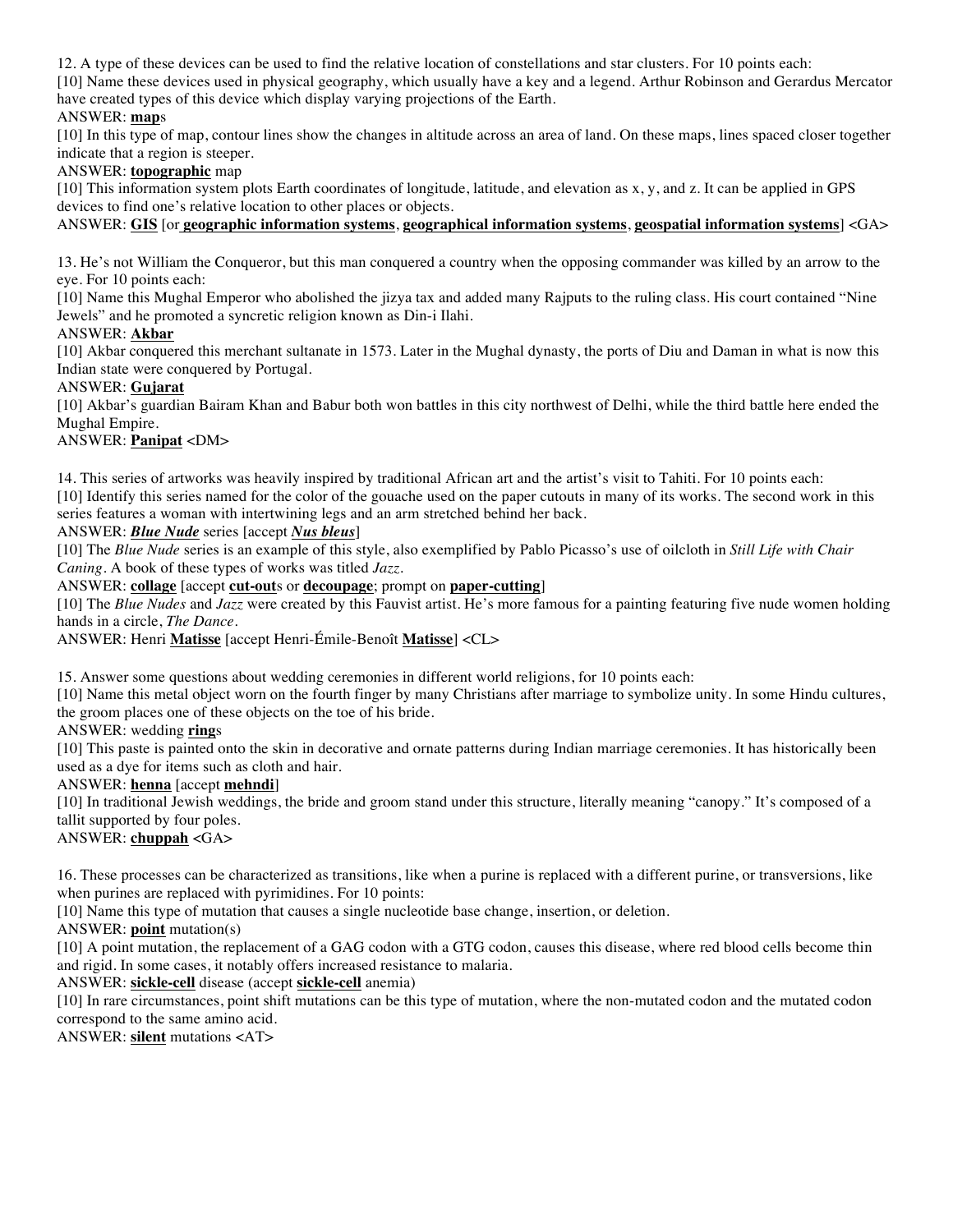12. A type of these devices can be used to find the relative location of constellations and star clusters. For 10 points each:

[10] Name these devices used in physical geography, which usually have a key and a legend. Arthur Robinson and Gerardus Mercator have created types of this device which display varying projections of the Earth.

# ANSWER: **map**s

[10] In this type of map, contour lines show the changes in altitude across an area of land. On these maps, lines spaced closer together indicate that a region is steeper.

ANSWER: **topographic** map

[10] This information system plots Earth coordinates of longitude, latitude, and elevation as x, y, and z. It can be applied in GPS devices to find one's relative location to other places or objects.

#### ANSWER: **GIS** [or **geographic information systems**, **geographical information systems**, **geospatial information systems**] <GA>

13. He's not William the Conqueror, but this man conquered a country when the opposing commander was killed by an arrow to the eye. For 10 points each:

[10] Name this Mughal Emperor who abolished the jizya tax and added many Rajputs to the ruling class. His court contained "Nine Jewels" and he promoted a syncretic religion known as Din-i Ilahi.

#### ANSWER: **Akbar**

[10] Akbar conquered this merchant sultanate in 1573. Later in the Mughal dynasty, the ports of Diu and Daman in what is now this Indian state were conquered by Portugal.

#### ANSWER: **Gujarat**

[10] Akbar's guardian Bairam Khan and Babur both won battles in this city northwest of Delhi, while the third battle here ended the Mughal Empire.

#### ANSWER: **Panipat** <DM>

14. This series of artworks was heavily inspired by traditional African art and the artist's visit to Tahiti. For 10 points each: [10] Identify this series named for the color of the gouache used on the paper cutouts in many of its works. The second work in this series features a woman with intertwining legs and an arm stretched behind her back.

ANSWER: *Blue Nude* series [accept *Nus bleus*]

[10] The *Blue Nude* series is an example of this style, also exemplified by Pablo Picasso's use of oilcloth in *Still Life with Chair Caning*. A book of these types of works was titled *Jazz*.

ANSWER: **collage** [accept **cut-out**s or **decoupage**; prompt on **paper-cutting**]

[10] The *Blue Nudes* and *Jazz* were created by this Fauvist artist. He's more famous for a painting featuring five nude women holding hands in a circle, *The Dance*.

ANSWER: Henri **Matisse** [accept Henri-Émile-Benoît **Matisse**] <CL>

15. Answer some questions about wedding ceremonies in different world religions, for 10 points each:

[10] Name this metal object worn on the fourth finger by many Christians after marriage to symbolize unity. In some Hindu cultures, the groom places one of these objects on the toe of his bride.

ANSWER: wedding **ring**s

[10] This paste is painted onto the skin in decorative and ornate patterns during Indian marriage ceremonies. It has historically been used as a dye for items such as cloth and hair.

#### ANSWER: **henna** [accept **mehndi**]

[10] In traditional Jewish weddings, the bride and groom stand under this structure, literally meaning "canopy." It's composed of a tallit supported by four poles.

ANSWER: **chuppah** <GA>

16. These processes can be characterized as transitions, like when a purine is replaced with a different purine, or transversions, like when purines are replaced with pyrimidines. For 10 points:

[10] Name this type of mutation that causes a single nucleotide base change, insertion, or deletion.

ANSWER: **point** mutation(s)

[10] A point mutation, the replacement of a GAG codon with a GTG codon, causes this disease, where red blood cells become thin and rigid. In some cases, it notably offers increased resistance to malaria.

ANSWER: **sickle-cell** disease (accept **sickle-cell** anemia)

[10] In rare circumstances, point shift mutations can be this type of mutation, where the non-mutated codon and the mutated codon correspond to the same amino acid.

ANSWER: **silent** mutations <AT>